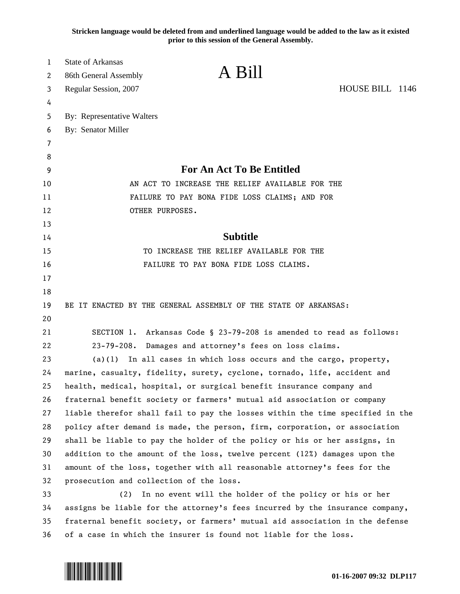**Stricken language would be deleted from and underlined language would be added to the law as it existed prior to this session of the General Assembly.**

| 1        | <b>State of Arkansas</b>                                                                                                      |                                                                            |                 |  |
|----------|-------------------------------------------------------------------------------------------------------------------------------|----------------------------------------------------------------------------|-----------------|--|
| 2        | 86th General Assembly                                                                                                         | A Bill                                                                     |                 |  |
| 3        | Regular Session, 2007                                                                                                         |                                                                            | HOUSE BILL 1146 |  |
| 4        |                                                                                                                               |                                                                            |                 |  |
| 5        | By: Representative Walters                                                                                                    |                                                                            |                 |  |
| 6        | By: Senator Miller                                                                                                            |                                                                            |                 |  |
| 7        |                                                                                                                               |                                                                            |                 |  |
| 8        |                                                                                                                               |                                                                            |                 |  |
| 9        | For An Act To Be Entitled                                                                                                     |                                                                            |                 |  |
| 10       | AN ACT TO INCREASE THE RELIEF AVAILABLE FOR THE                                                                               |                                                                            |                 |  |
| 11       | FAILURE TO PAY BONA FIDE LOSS CLAIMS; AND FOR                                                                                 |                                                                            |                 |  |
| 12       | OTHER PURPOSES.                                                                                                               |                                                                            |                 |  |
| 13       |                                                                                                                               | <b>Subtitle</b>                                                            |                 |  |
| 14       |                                                                                                                               |                                                                            |                 |  |
| 15       | TO INCREASE THE RELIEF AVAILABLE FOR THE<br>FAILURE TO PAY BONA FIDE LOSS CLAIMS.                                             |                                                                            |                 |  |
| 16       |                                                                                                                               |                                                                            |                 |  |
| 17       |                                                                                                                               |                                                                            |                 |  |
| 18<br>19 |                                                                                                                               | BE IT ENACTED BY THE GENERAL ASSEMBLY OF THE STATE OF ARKANSAS:            |                 |  |
| 20       |                                                                                                                               |                                                                            |                 |  |
| 21       |                                                                                                                               |                                                                            |                 |  |
| 22       | SECTION 1. Arkansas Code § 23-79-208 is amended to read as follows:<br>23-79-208. Damages and attorney's fees on loss claims. |                                                                            |                 |  |
| 23       | $(a)(1)$ In all cases in which loss occurs and the cargo, property,                                                           |                                                                            |                 |  |
| 24       | marine, casualty, fidelity, surety, cyclone, tornado, life, accident and                                                      |                                                                            |                 |  |
| 25       | health, medical, hospital, or surgical benefit insurance company and                                                          |                                                                            |                 |  |
| 26       | fraternal benefit society or farmers' mutual aid association or company                                                       |                                                                            |                 |  |
| 27       | liable therefor shall fail to pay the losses within the time specified in the                                                 |                                                                            |                 |  |
| 28       |                                                                                                                               | policy after demand is made, the person, firm, corporation, or association |                 |  |
| 29       |                                                                                                                               | shall be liable to pay the holder of the policy or his or her assigns, in  |                 |  |
| 30       |                                                                                                                               | addition to the amount of the loss, twelve percent (12%) damages upon the  |                 |  |
| 31       |                                                                                                                               | amount of the loss, together with all reasonable attorney's fees for the   |                 |  |
| 32       | prosecution and collection of the loss.                                                                                       |                                                                            |                 |  |
| 33       | (2)<br>In no event will the holder of the policy or his or her                                                                |                                                                            |                 |  |
| 34       | assigns be liable for the attorney's fees incurred by the insurance company,                                                  |                                                                            |                 |  |
| 35       | fraternal benefit society, or farmers' mutual aid association in the defense                                                  |                                                                            |                 |  |
| 36       | of a case in which the insurer is found not liable for the loss.                                                              |                                                                            |                 |  |